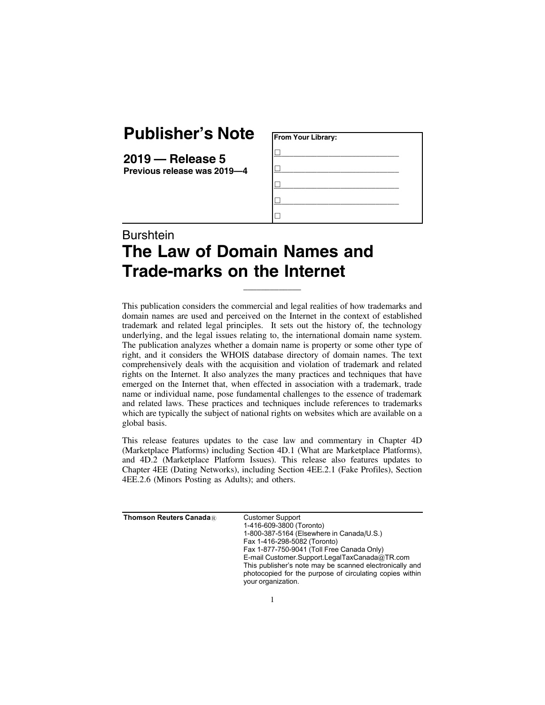## **Publisher's Note**

**2019 — Release 5 Previous release was 2019—4**

| From Your Library: |  |
|--------------------|--|
|                    |  |
|                    |  |
|                    |  |
|                    |  |
|                    |  |

## **Burshtein The Law of Domain Names and Trade-marks on the Internet**

This publication considers the commercial and legal realities of how trademarks and domain names are used and perceived on the Internet in the context of established trademark and related legal principles. It sets out the history of, the technology underlying, and the legal issues relating to, the international domain name system. The publication analyzes whether a domain name is property or some other type of right, and it considers the WHOIS database directory of domain names. The text comprehensively deals with the acquisition and violation of trademark and related rights on the Internet. It also analyzes the many practices and techniques that have emerged on the Internet that, when effected in association with a trademark, trade name or individual name, pose fundamental challenges to the essence of trademark and related laws. These practices and techniques include references to trademarks which are typically the subject of national rights on websites which are available on a global basis.

\_\_\_\_\_\_\_\_\_\_\_\_\_

This release features updates to the case law and commentary in Chapter 4D (Marketplace Platforms) including Section 4D.1 (What are Marketplace Platforms), and 4D.2 (Marketplace Platform Issues). This release also features updates to Chapter 4EE (Dating Networks), including Section 4EE.2.1 (Fake Profiles), Section 4EE.2.6 (Minors Posting as Adults); and others.

| Thomson Reuters Canada $\textcolor{black}{\mathbb{R}}$ | <b>Customer Support</b><br>1-416-609-3800 (Toronto)<br>1-800-387-5164 (Elsewhere in Canada/U.S.)<br>Fax 1-416-298-5082 (Toronto)<br>Fax 1-877-750-9041 (Toll Free Canada Only)<br>E-mail Customer.Support.LegalTaxCanada@TR.com<br>This publisher's note may be scanned electronically and<br>photocopied for the purpose of circulating copies within<br>your organization. |
|--------------------------------------------------------|------------------------------------------------------------------------------------------------------------------------------------------------------------------------------------------------------------------------------------------------------------------------------------------------------------------------------------------------------------------------------|
|                                                        |                                                                                                                                                                                                                                                                                                                                                                              |